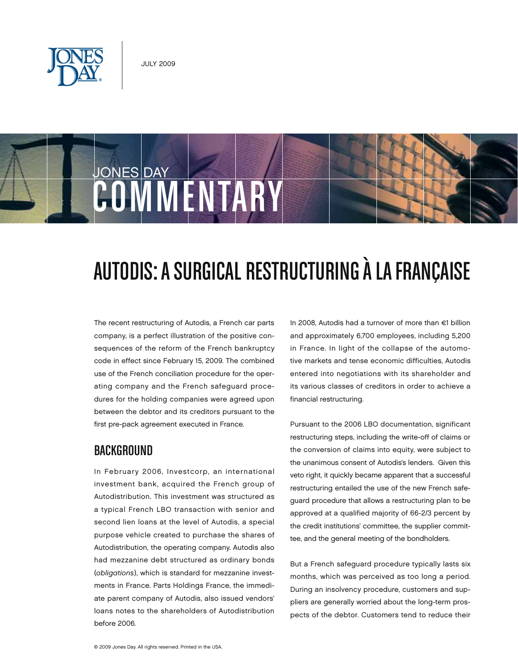

# JONES DAY COMMENTARY

## Autodis: A Surgical Restructuring à la Française

The recent restructuring of Autodis, a French car parts company, is a perfect illustration of the positive consequences of the reform of the French bankruptcy code in effect since February 15, 2009. The combined use of the French conciliation procedure for the operating company and the French safeguard procedures for the holding companies were agreed upon between the debtor and its creditors pursuant to the first pre-pack agreement executed in France.

## **BACKGROUND**

In February 2006, Investcorp, an international investment bank, acquired the French group of Autodistribution. This investment was structured as a typical French LBO transaction with senior and second lien loans at the level of Autodis, a special purpose vehicle created to purchase the shares of Autodistribution, the operating company. Autodis also had mezzanine debt structured as ordinary bonds (obligations), which is standard for mezzanine investments in France. Parts Holdings France, the immediate parent company of Autodis, also issued vendors' loans notes to the shareholders of Autodistribution before 2006.

In 2008, Autodis had a turnover of more than €1 billion and approximately 6,700 employees, including 5,200 in France. In light of the collapse of the automotive markets and tense economic difficulties, Autodis entered into negotiations with its shareholder and its various classes of creditors in order to achieve a financial restructuring.

Pursuant to the 2006 LBO documentation, significant restructuring steps, including the write-off of claims or the conversion of claims into equity, were subject to the unanimous consent of Autodis's lenders. Given this veto right, it quickly became apparent that a successful restructuring entailed the use of the new French safeguard procedure that allows a restructuring plan to be approved at a qualified majority of 66-2/3 percent by the credit institutions' committee, the supplier committee, and the general meeting of the bondholders.

But a French safeguard procedure typically lasts six months, which was perceived as too long a period. During an insolvency procedure, customers and suppliers are generally worried about the long-term prospects of the debtor. Customers tend to reduce their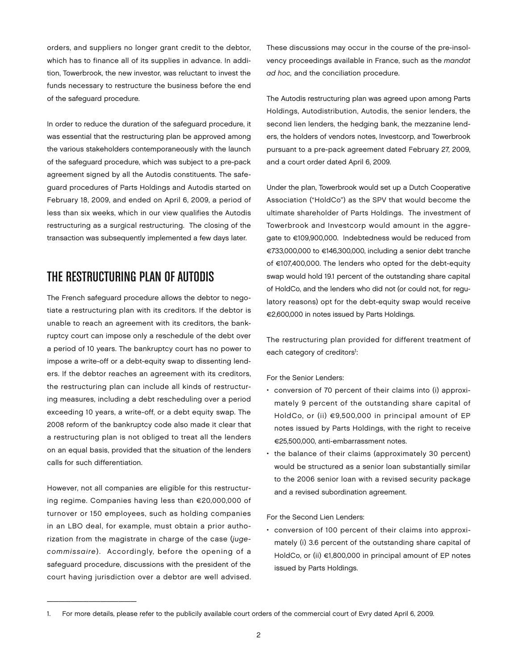orders, and suppliers no longer grant credit to the debtor, which has to finance all of its supplies in advance. In addition, Towerbrook, the new investor, was reluctant to invest the funds necessary to restructure the business before the end of the safeguard procedure.

In order to reduce the duration of the safeguard procedure, it was essential that the restructuring plan be approved among the various stakeholders contemporaneously with the launch of the safeguard procedure, which was subject to a pre-pack agreement signed by all the Autodis constituents. The safeguard procedures of Parts Holdings and Autodis started on February 18, 2009, and ended on April 6, 2009, a period of less than six weeks, which in our view qualifies the Autodis restructuring as a surgical restructuring. The closing of the transaction was subsequently implemented a few days later.

## THE RESTRUCTURING PLAN OF AUTODIS

The French safeguard procedure allows the debtor to negotiate a restructuring plan with its creditors. If the debtor is unable to reach an agreement with its creditors, the bankruptcy court can impose only a reschedule of the debt over a period of 10 years. The bankruptcy court has no power to impose a write-off or a debt-equity swap to dissenting lenders. If the debtor reaches an agreement with its creditors, the restructuring plan can include all kinds of restructuring measures, including a debt rescheduling over a period exceeding 10 years, a write-off, or a debt equity swap. The 2008 reform of the bankruptcy code also made it clear that a restructuring plan is not obliged to treat all the lenders on an equal basis, provided that the situation of the lenders calls for such differentiation.

However, not all companies are eligible for this restructuring regime. Companies having less than €20,000,000 of turnover or 150 employees, such as holding companies in an LBO deal, for example, must obtain a prior authorization from the magistrate in charge of the case (jugecommissaire). Accordingly, before the opening of a safeguard procedure, discussions with the president of the court having jurisdiction over a debtor are well advised.

\_\_\_\_\_\_\_\_\_\_\_\_\_\_\_

These discussions may occur in the course of the pre-insolvency proceedings available in France, such as the mandat ad hoc, and the conciliation procedure.

The Autodis restructuring plan was agreed upon among Parts Holdings, Autodistribution, Autodis, the senior lenders, the second lien lenders, the hedging bank, the mezzanine lenders, the holders of vendors notes, Investcorp, and Towerbrook pursuant to a pre-pack agreement dated February 27, 2009, and a court order dated April 6, 2009.

Under the plan, Towerbrook would set up a Dutch Cooperative Association ("HoldCo") as the SPV that would become the ultimate shareholder of Parts Holdings. The investment of Towerbrook and Investcorp would amount in the aggregate to €109,900,000. Indebtedness would be reduced from €733,000,000 to €146,300,000, including a senior debt tranche of €107,400,000. The lenders who opted for the debt-equity swap would hold 19.1 percent of the outstanding share capital of HoldCo, and the lenders who did not (or could not, for regulatory reasons) opt for the debt-equity swap would receive €2,600,000 in notes issued by Parts Holdings.

The restructuring plan provided for different treatment of each category of creditors<sup>1</sup>:

For the Senior Lenders:

- • conversion of 70 percent of their claims into (i) approximately 9 percent of the outstanding share capital of HoldCo, or (ii) €9,500,000 in principal amount of EP notes issued by Parts Holdings, with the right to receive €25,500,000, anti-embarrassment notes.
- the balance of their claims (approximately 30 percent) would be structured as a senior loan substantially similar to the 2006 senior loan with a revised security package and a revised subordination agreement.

For the Second Lien Lenders:

• conversion of 100 percent of their claims into approximately (i) 3.6 percent of the outstanding share capital of HoldCo, or (ii) €1,800,000 in principal amount of EP notes issued by Parts Holdings.

<sup>1.</sup> For more details, please refer to the publicily available court orders of the commercial court of Evry dated April 6, 2009.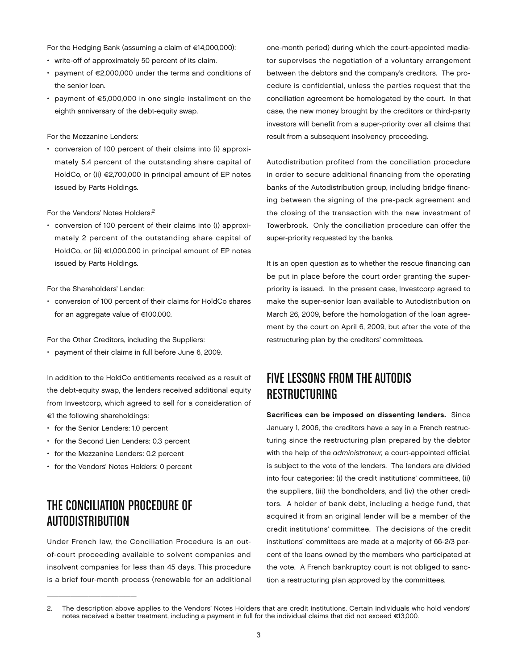For the Hedging Bank (assuming a claim of €14,000,000):

- write-off of approximately 50 percent of its claim.
- • payment of €2,000,000 under the terms and conditions of the senior loan.
- • payment of €5,000,000 in one single installment on the eighth anniversary of the debt-equity swap.

#### For the Mezzanine Lenders:

• conversion of 100 percent of their claims into (i) approximately 5.4 percent of the outstanding share capital of HoldCo, or (ii) €2,700,000 in principal amount of EP notes issued by Parts Holdings.

#### For the Vendors' Notes Holders:2

• conversion of 100 percent of their claims into (i) approximately 2 percent of the outstanding share capital of HoldCo, or (ii) €1,000,000 in principal amount of EP notes issued by Parts Holdings.

#### For the Shareholders' Lender:

• conversion of 100 percent of their claims for HoldCo shares for an aggregate value of €100,000.

For the Other Creditors, including the Suppliers:

• payment of their claims in full before June 6, 2009.

In addition to the HoldCo entitlements received as a result of the debt-equity swap, the lenders received additional equity from Investcorp, which agreed to sell for a consideration of €1 the following shareholdings:

- for the Senior Lenders: 1.0 percent
- for the Second Lien Lenders: 0.3 percent
- • for the Mezzanine Lenders: 0.2 percent
- for the Vendors' Notes Holders: 0 percent

## The Conciliation Procedure of Autodistribution

 $\overline{\phantom{a}}$  , which is a set of the set of the set of the set of the set of the set of the set of the set of the set of the set of the set of the set of the set of the set of the set of the set of the set of the set of th

Under French law, the Conciliation Procedure is an outof-court proceeding available to solvent companies and insolvent companies for less than 45 days. This procedure is a brief four-month process (renewable for an additional one-month period) during which the court-appointed mediator supervises the negotiation of a voluntary arrangement between the debtors and the company's creditors. The procedure is confidential, unless the parties request that the conciliation agreement be homologated by the court. In that case, the new money brought by the creditors or third-party investors will benefit from a super-priority over all claims that result from a subsequent insolvency proceeding.

Autodistribution profited from the conciliation procedure in order to secure additional financing from the operating banks of the Autodistribution group, including bridge financing between the signing of the pre-pack agreement and the closing of the transaction with the new investment of Towerbrook. Only the conciliation procedure can offer the super-priority requested by the banks.

It is an open question as to whether the rescue financing can be put in place before the court order granting the superpriority is issued. In the present case, Investcorp agreed to make the super-senior loan available to Autodistribution on March 26, 2009, before the homologation of the loan agreement by the court on April 6, 2009, but after the vote of the restructuring plan by the creditors' committees.

## Five Lessons from the Autodis **RESTRUCTURING**

Sacrifices can be imposed on dissenting lenders. Since January 1, 2006, the creditors have a say in a French restructuring since the restructuring plan prepared by the debtor with the help of the administrateur, a court-appointed official, is subject to the vote of the lenders. The lenders are divided into four categories: (i) the credit institutions' committees, (ii) the suppliers, (iii) the bondholders, and (iv) the other creditors. A holder of bank debt, including a hedge fund, that acquired it from an original lender will be a member of the credit institutions' committee. The decisions of the credit institutions' committees are made at a majority of 66-2/3 percent of the loans owned by the members who participated at the vote. A French bankruptcy court is not obliged to sanction a restructuring plan approved by the committees.

<sup>2.</sup> The description above applies to the Vendors' Notes Holders that are credit institutions. Certain individuals who hold vendors' notes received a better treatment, including a payment in full for the individual claims that did not exceed €13,000.